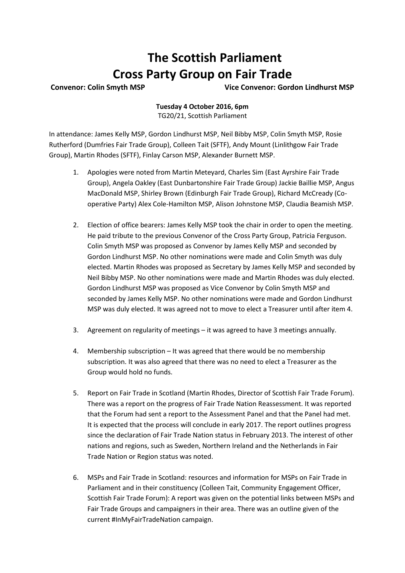## **The Scottish Parliament Cross Party Group on Fair Trade**

**Convenor: Colin Smyth MSP Vice Convenor: Gordon Lindhurst MSP**

## **Tuesday 4 October 2016, 6pm** TG20/21, Scottish Parliament

In attendance: James Kelly MSP, Gordon Lindhurst MSP, Neil Bibby MSP, Colin Smyth MSP, Rosie Rutherford (Dumfries Fair Trade Group), Colleen Tait (SFTF), Andy Mount (Linlithgow Fair Trade Group), Martin Rhodes (SFTF), Finlay Carson MSP, Alexander Burnett MSP.

- 1. Apologies were noted from Martin Meteyard, Charles Sim (East Ayrshire Fair Trade Group), Angela Oakley (East Dunbartonshire Fair Trade Group) Jackie Baillie MSP, Angus MacDonald MSP, Shirley Brown (Edinburgh Fair Trade Group), Richard McCready (Cooperative Party) Alex Cole-Hamilton MSP, Alison Johnstone MSP, Claudia Beamish MSP.
- 2. Election of office bearers: James Kelly MSP took the chair in order to open the meeting. He paid tribute to the previous Convenor of the Cross Party Group, Patricia Ferguson. Colin Smyth MSP was proposed as Convenor by James Kelly MSP and seconded by Gordon Lindhurst MSP. No other nominations were made and Colin Smyth was duly elected. Martin Rhodes was proposed as Secretary by James Kelly MSP and seconded by Neil Bibby MSP. No other nominations were made and Martin Rhodes was duly elected. Gordon Lindhurst MSP was proposed as Vice Convenor by Colin Smyth MSP and seconded by James Kelly MSP. No other nominations were made and Gordon Lindhurst MSP was duly elected. It was agreed not to move to elect a Treasurer until after item 4.
- 3. Agreement on regularity of meetings it was agreed to have 3 meetings annually.
- 4. Membership subscription It was agreed that there would be no membership subscription. It was also agreed that there was no need to elect a Treasurer as the Group would hold no funds.
- 5. Report on Fair Trade in Scotland (Martin Rhodes, Director of Scottish Fair Trade Forum). There was a report on the progress of Fair Trade Nation Reassessment. It was reported that the Forum had sent a report to the Assessment Panel and that the Panel had met. It is expected that the process will conclude in early 2017. The report outlines progress since the declaration of Fair Trade Nation status in February 2013. The interest of other nations and regions, such as Sweden, Northern Ireland and the Netherlands in Fair Trade Nation or Region status was noted.
- 6. MSPs and Fair Trade in Scotland: resources and information for MSPs on Fair Trade in Parliament and in their constituency (Colleen Tait, Community Engagement Officer, Scottish Fair Trade Forum): A report was given on the potential links between MSPs and Fair Trade Groups and campaigners in their area. There was an outline given of the current #InMyFairTradeNation campaign.